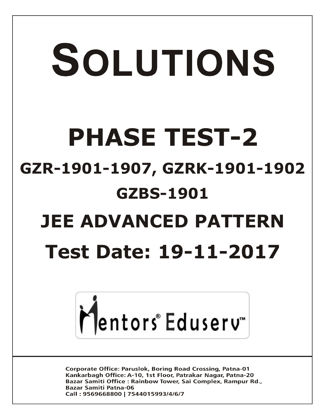# SOLUTIONS **PHASE TEST-2 GZR-1901-1907, GZRK-1901-1902 GZBS-1901 JEE ADVANCED PATTERN Test Date: 19-11-2017**



**Corporate Office: Paruslok, Boring Road Crossing, Patna-01** Kankarbagh Office: A-10, 1st Floor, Patrakar Nagar, Patna-20 Bazar Samiti Office: Rainbow Tower, Sai Complex, Rampur Rd., **Bazar Samiti Patna-06** Call: 9569668800 | 7544015993/4/6/7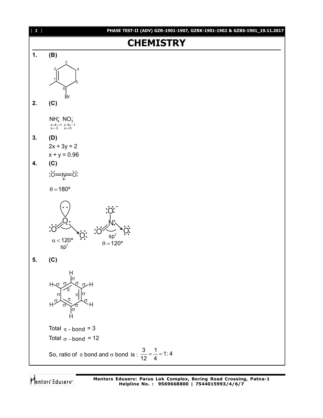

Mentors Eduserv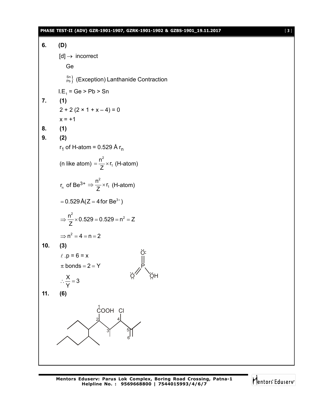#### **PHASE TEST-II (ADV) GZR-1901-1907, GZRK-1901-1902 & GZBS-1901\_19.11.2017** [ **3** ]

**6. (D)**  $[d] \rightarrow$  incorrect Ge  $\binom{Sn}{Pb}$  (Exception) Lanthanide Contraction I.E<sub>1</sub> = Ge > Pb > Sn **7. (1)**  $2 + 2 (2 \times 1 + x - 4) = 0$  $x = +1$ **8. (1) 9. (2)** r<sub>1</sub> of H-atom = 0.529 Å r<sub>n</sub> (n like atom) 2 1  $\frac{n^2}{2} \times r$  $=\frac{11}{Z} \times r_1$  (H-atom) r<sub>n</sub> of Be<sup>3+</sup>  $\Rightarrow \frac{n^2}{7}$ 1  $\frac{n^2}{2} \times r$  $\Rightarrow \frac{1}{Z} \times r_1$  (H-atom)  $= 0.529 \,\text{\AA}(Z = 4 \,\text{for } \text{Be}^{3+})$  $\frac{n^2}{2}$  × 0.529 = 0.529 = n<sup>2</sup> = Z Z  $\Rightarrow \frac{11}{7} \times 0.529 = 0.529 = n^2 = 2$  $\Rightarrow$  n<sup>2</sup> = 4 = n = 2 **10. (3)**  $l \cdot p = 6 = x$ P O Ö, ÖH  $\pi$  bonds = 2 = Y  $\frac{\mathsf{X}}{\mathsf{X}}$  = 3 Y  $\therefore \frac{\triangle}{\triangle} = 3$ **11. (6)**  $1$ <sub>COOH</sub> CI 2 3 4 5 6

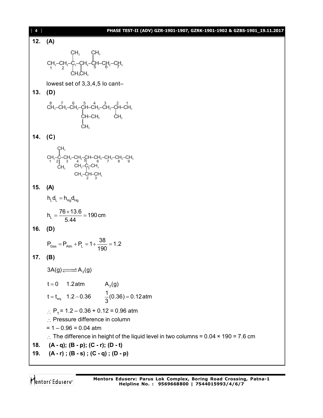| $[4]$   | PHASE TEST-II (ADV) GZR-1901-1907, GZRK-1901-1902 & GZBS-1901_19.11.2017                                                                                                                                                                                                                                                                                                                                                                                                                            |
|---------|-----------------------------------------------------------------------------------------------------------------------------------------------------------------------------------------------------------------------------------------------------------------------------------------------------------------------------------------------------------------------------------------------------------------------------------------------------------------------------------------------------|
| 12.     | (A)                                                                                                                                                                                                                                                                                                                                                                                                                                                                                                 |
|         |                                                                                                                                                                                                                                                                                                                                                                                                                                                                                                     |
|         | $CH_3-CH_2-C_3-CH_4-C_5H-CH_2-CH_3$<br>$CH_3-CH_2-C_3-CH_4-C_5H-CH_2-CH_3$<br>$CH_3$                                                                                                                                                                                                                                                                                                                                                                                                                |
|         | lowest set of 3,3,4,5 lo cant-                                                                                                                                                                                                                                                                                                                                                                                                                                                                      |
| 13.     | (D)                                                                                                                                                                                                                                                                                                                                                                                                                                                                                                 |
|         | $\begin{array}{ccccc} \stackrel{8}{\text{CH}_3}-\stackrel{7}{\text{CH}_2}-\stackrel{6}{\text{CH}_2}-\stackrel{5}{\text{CH}_2}-\stackrel{4}{\text{CH}_2}-\stackrel{3}{\text{CH}_2}-\stackrel{2}{\text{CH}_3}-\stackrel{1}{\text{CH}_3}\\ \stackrel{1}{\text{CH}-\text{CH}_3} & & & \stackrel{1}{\text{CH}_3}\\ \stackrel{1}{\text{CH}_3} & & & \end{array}$                                                                                                                                          |
| 14. (C) |                                                                                                                                                                                                                                                                                                                                                                                                                                                                                                     |
|         |                                                                                                                                                                                                                                                                                                                                                                                                                                                                                                     |
|         | $\begin{array}{c} \mathsf{CH}_3 \\ \mathsf{CH}_3\text{-}\mathsf{C}\text{-}\mathsf{CH}_2\text{-}\mathsf{CH}_2\text{-}\mathsf{CH}\text{-}\mathsf{CH}_2\text{-}\mathsf{CH}_2\text{-}\mathsf{CH}_2\text{-}\mathsf{CH}_3 \\ \mathsf{1} \text{ } \begin{array}{c} 2 \end{array} \begin{array}{c} \mathsf{CH}_3 \\ \mathsf{CH}_3 \end{array} \begin{array}{c} \mathsf{CH}_3 \text{-}\mathsf{CH}_2\text{-}\mathsf{CH}_3 \\ \mathsf{CH}_3 \end{array} \begin{array}{c} \mathsf{CH}_3 \end{array} \\ \begin{$ |
| 15.     | (A)                                                                                                                                                                                                                                                                                                                                                                                                                                                                                                 |
|         | $h_{L}d_{L} = h_{Hq}d_{Hq}$                                                                                                                                                                                                                                                                                                                                                                                                                                                                         |
|         | $h_L = \frac{76 \times 13.6}{5.44} = 190 \text{ cm}$                                                                                                                                                                                                                                                                                                                                                                                                                                                |
| 16.     | (D)                                                                                                                                                                                                                                                                                                                                                                                                                                                                                                 |
|         | $P_{\text{Gas}} = P_{\text{Atm}} + P_{\text{L}} = 1 + \frac{38}{190} = 1.2$                                                                                                                                                                                                                                                                                                                                                                                                                         |
| 17.     | (B)                                                                                                                                                                                                                                                                                                                                                                                                                                                                                                 |
|         | $3A(g) \rightleftharpoons A_3(g)$                                                                                                                                                                                                                                                                                                                                                                                                                                                                   |
|         | $t = 0$ 1.2 atm<br>$A_3(g)$                                                                                                                                                                                                                                                                                                                                                                                                                                                                         |
|         | $t = t_{eq}$ 1.2 - 0.36 $\frac{1}{3}(0.36) = 0.12$ atm                                                                                                                                                                                                                                                                                                                                                                                                                                              |
|         | $\therefore$ P <sub>T</sub> = 1.2 – 0.36 + 0.12 = 0.96 atm<br>$\therefore$ Pressure difference in column<br>$= 1 - 0.96 = 0.04$ atm                                                                                                                                                                                                                                                                                                                                                                 |
|         | $\therefore$ The difference in height of the liquid level in two columns = 0.04 $\times$ 190 = 7.6 cm                                                                                                                                                                                                                                                                                                                                                                                               |
| 18.     | $(A - q)$ ; $(B - p)$ ; $(C - r)$ ; $(D - t)$<br>19. $(A - r)$ ; $(B - s)$ ; $(C - q)$ ; $(D - p)$                                                                                                                                                                                                                                                                                                                                                                                                  |

Mentors<sup>e</sup> Eduserv<sup>-</sup>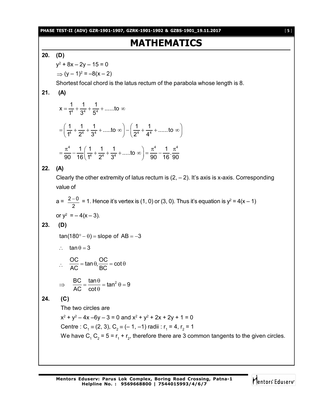**PHASE TEST-II (ADV) GZR-1901-1907, GZRK-1901-1902 & GZBS-1901\_19.11.2017** [ **5** ]

# **MATHEMATICS**

#### **20. (D)**

y 2 + 8x – 2y – 15 = 0  $\Rightarrow$   $(y - 1)^2 = -8(x - 2)$ 

Shortest focal chord is the latus rectum of the parabola whose length is 8.

### **21. (A)**

$$
x = \frac{1}{1^4} + \frac{1}{3^4} + \frac{1}{5^4} + \dots \text{ to } \infty
$$
  
=  $\left(\frac{1}{1^4} + \frac{1}{2^4} + \frac{1}{3^4} + \dots \text{ to } \infty\right) - \left(\frac{1}{2^4} + \frac{1}{4^4} + \dots \text{ to } \infty\right)$   
=  $\frac{\pi^4}{90} - \frac{1}{16} \left(\frac{1}{1^4} + \frac{1}{2^4} + \frac{1}{3^4} + \dots \text{ to } \infty\right) = \frac{\pi^4}{90} - \frac{1}{16} \cdot \frac{\pi^4}{90}$ 

**22. (A)**

Clearly the other extremity of latus rectum is  $(2, -2)$ . It's axis is x-axis. Corresponding value of

$$
a = \frac{2 - 0}{2} = 1.
$$
 Hence it's vertex is (1, 0) or (3, 0). Thus it's equation is  $y^2 = 4(x - 1)$   
or  $y^2 = -4(x - 3)$ .

**23. (D)**

 $tan(180^\circ - \theta) = slope of AB = -3$ 

$$
\therefore \quad \tan \theta = 3
$$

$$
\therefore \frac{OC}{AC} = \tan \theta, \frac{OC}{BC} = \cot \theta
$$
  

$$
\Rightarrow \frac{BC}{AO} = \frac{\tan \theta}{\cos \theta} = \tan^2 \theta = 9
$$

$$
\frac{26}{AC} = \frac{\tan 6}{\cot \theta} = \tan^2 \theta
$$

#### **24. (C)**

The two circles are

 $x^2 + y^2 - 4x - 6y - 3 = 0$  and  $x^2 + y^2 + 2x + 2y + 1 = 0$ Centre : C<sub>1</sub> = (2, 3), C<sub>2</sub> = (- 1, -1) radii : r<sub>1</sub> = 4, r<sub>2</sub> = 1 We have C<sub>1</sub> C<sub>2</sub> = 5 = r<sub>1</sub> + r<sub>2</sub>, therefore there are 3 common tangents to the given circles.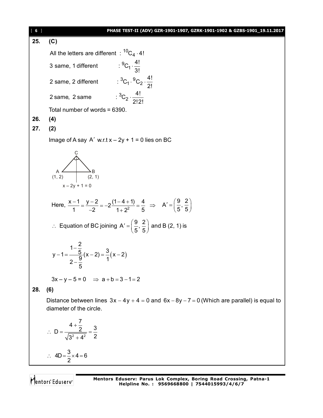[ **6** ] **PHASE TEST-II (ADV) GZR-1901-1907, GZRK-1901-1902 & GZBS-1901\_19.11.2017 25. (C)** All the letters are different  $\pm\mathrm{^{10}C_{4}}\cdot$ 4!  $^{9}C_{1} \cdot \frac{4!}{3!}$ 2 same, 2 different  ${}^{3}C_{1} \cdot {}^{9}C_{2} \cdot \frac{4!}{2!}$ 2 same, 2 same  $: {}^{3}C_{2} \cdot \frac{4!}{2!3!}$ 3 same, 1 different 2! 2!2! .  $\cdot \,^{\circ}C_2 \cdot \frac{1}{2}$ . Total number of words = 6390. **26. (4) 27. (2)** Image of A say  $A'$  w.r.t  $x - 2y + 1 = 0$  lies on BC A (1, 2) B (2, 1)  $x - 2y + 1 = 0$ C Here,  $\frac{x-1}{1} = \frac{y-2}{2} = -2\frac{(1-4+1)}{1-2} = \frac{1}{2}$  $\frac{x-1}{1} = \frac{y-2}{-2} = -2\frac{(1-4+1)}{1+2^2} = \frac{4}{5}$ 1  $-2$   $1+2^2$  5  $\Rightarrow$  A' =  $\left(\frac{9}{5}, \frac{2}{5}\right)$  $\vec{f} = \left(\frac{9}{5}, \frac{2}{5}\right)$  $\therefore$  Equation of BC joining A' =  $\left(\frac{9}{5}, \frac{2}{5}\right)$  $S = \left(\frac{9}{5}, \frac{2}{5}\right)$  and B (2, 1) is  $(x-2)$ - $-1 = \frac{3}{2}(x-2) = \frac{3}{2}(x-2)$  $\overline{\phantom{a}}$  $y-1=\frac{1-\frac{2}{5}}{2-\frac{9}{5}}(x-2)=\frac{3}{1}(x-2)$ 5  $3x - y - 5 = 0$   $\Rightarrow$   $a + b = 3 - 1 = 2$ **28. (6)** Distance between lines  $3x - 4y + 4 = 0$  and  $6x - 8y - 7 = 0$  (Which are parallel) is equal to diameter of the circle. 2  $\mathbf{A}^2$  $D = \frac{4 + \frac{7}{2}}{\sqrt{2} \cdot 2} = \frac{3}{2}$  $3^2 + 4^2$  2  $\ddot{}$  $\therefore$  D =  $\frac{2}{\sqrt{2}}$  =  $\frac{2}{\sqrt{2}}$  $^{+}$  $4D = \frac{3}{2} \times 4 = 6$  $\therefore$  4D =  $\frac{8}{9} \times 4 = 6$ 

Mentors Eduserv

2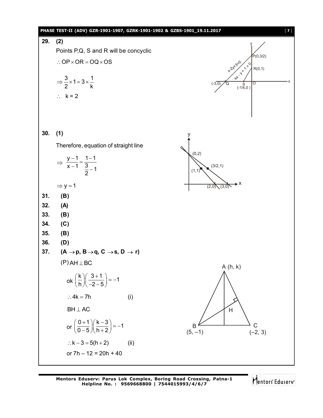

Mentors Eduserv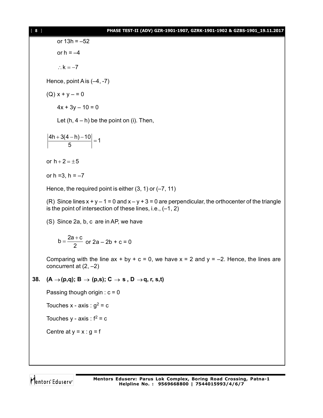or 13h = –52 or  $h = -4$ 

 $\therefore$  k = -7

Hence, point A is (–4, -7)

 $(Q) x + y - 0$ 

 $4x + 3y - 10 = 0$ 

Let  $(h, 4 - h)$  be the point on (i). Then,

 $\left|\frac{4h + 3(4-h) - 10}{5}\right| = 1$ 5  $+\frac{3(4-h)-10}{5}$  =

or  $h + 2 = \pm 5$ 

or  $h = 3$ ,  $h = -7$ 

Hence, the required point is either  $(3, 1)$  or  $(-7, 11)$ 

(R) Since lines  $x + y - 1 = 0$  and  $x - y + 3 = 0$  are perpendicular, the orthocenter of the triangle is the point of intersection of these lines, i.e., (–1, 2)

(S) Since 2a, b, c are in AP, we have

$$
b = \frac{2a + c}{2}
$$
 or  $2a - 2b + c = 0$ 

Comparing with the line  $ax + by + c = 0$ , we have  $x = 2$  and  $y = -2$ . Hence, the lines are concurrent at  $(2, -2)$ 

#### **38.**  $(A \rightarrow (p,q); B \rightarrow (p,s); C \rightarrow s, D \rightarrow q, r, s,t)$

Passing though origin :  $c = 0$ 

Touches x - axis :  $g^2$  = c

Touches  $y - axis : f^2 = c$ 

Centre at  $y = x : g = f$ 

Mentors Eduserv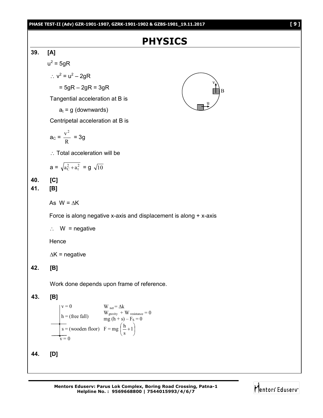# **PHYSICS**

B



**44. [D]**

 $v = 0$ 

**Mentors Eduserv: Parus Lok Complex, Boring Road Crossing, Patna-1 Helpline No. : 9569668800 | 7544015993/4/6/7**

 $\bigg)$ 

 $\setminus$ 

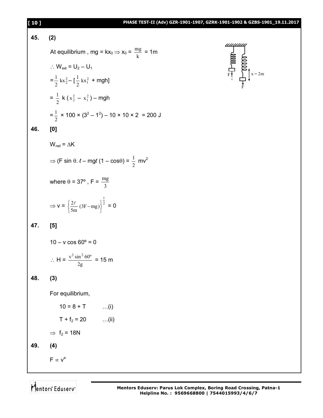#### **[ 10 ] PHASE TEST-II (Adv) GZR-1901-1907, GZRK-1901-1902 & GZBS-1901\_19.11.2017**

## **45. (2)** At equilibrium , mg = kx<sub>0</sub>  $\Rightarrow$  x<sub>0</sub> =  $\frac{mg}{k}$  = 1m  $\therefore$  W<sub>ext</sub> = U<sub>2</sub> – U<sub>1</sub>  $=\frac{1}{2} kx_2^2$  $\frac{1}{2}$  kx $\frac{2}{2}$  –  $\left[\frac{1}{2}$  kx<sub>1</sub><sup>2</sup>  $\frac{1}{2}$  kx<sup>2</sup> + mgh]  $=\frac{1}{2}$  $\frac{1}{2}$  k ( $x_2^2 - x_1^2$ ) – mgh  $=\frac{1}{2}$  $\frac{1}{2}$  × 100 × (3<sup>2</sup> – 1<sup>2</sup>) – 10 × 10 × 2 = 200 J **46. [0]**  $W_{net} = \Delta K$  $\Rightarrow$  (F sin  $\theta$ .  $\ell$  – mg $\ell$  (1 – cos $\theta$ ) =  $\frac{1}{2}$  $\frac{1}{2}$  mv<sup>2</sup> where  $\theta = 37^{\circ}$  , F =  $\frac{m_3}{3}$ mg  $\Rightarrow$  v =  $\left\{\frac{2\ell}{5}$  (3F - mg) $\right\}^2$ 1  $\frac{20}{5m}$  (3F – mg) 2  $\left\{\begin{array}{c} \phantom{a}\\ \phantom{a}\\ \phantom{a}\end{array}\right\}$  $\left\{\frac{2\ell}{5m} (3F - mg)\right\}^{\frac{1}{2}} = 0$ **47. [5]**  $10 - v \cos 60^\circ = 0$  $\therefore$  H =  $\frac{v \sin \theta}{2g}$  $\frac{v^2 \sin^2 60^\circ}{2}$  = 15 m **48. (3)** For equilibrium,  $10 = 8 + T$  ...(i)  $T + f_2 = 20$  ...(ii)  $\Rightarrow$  f<sub>2</sub> = 18N **49. (4)**  $F \propto v^a$



Mentors<sup>®</sup> Eduserv<sup>®</sup>